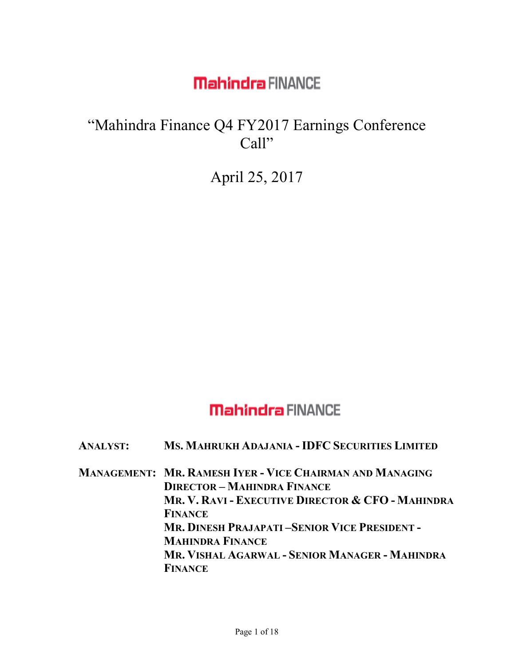#### "Mahindra Finance Q4 FY2017 Earnings Conference Call"

April 25, 2017

#### **Mahindra FINANCE**

**ANALYST: MS. MAHRUKH ADAJANIA -IDFC SECURITIES LIMITED**

**MANAGEMENT: MR. RAMESH IYER - VICE CHAIRMAN AND MANAGING DIRECTOR – MAHINDRA FINANCE MR. V. RAVI - EXECUTIVE DIRECTOR & CFO - MAHINDRA FINANCE MR. DINESH PRAJAPATI –SENIOR VICE PRESIDENT - MAHINDRA FINANCE MR. VISHAL AGARWAL - SENIOR MANAGER - MAHINDRA FINANCE**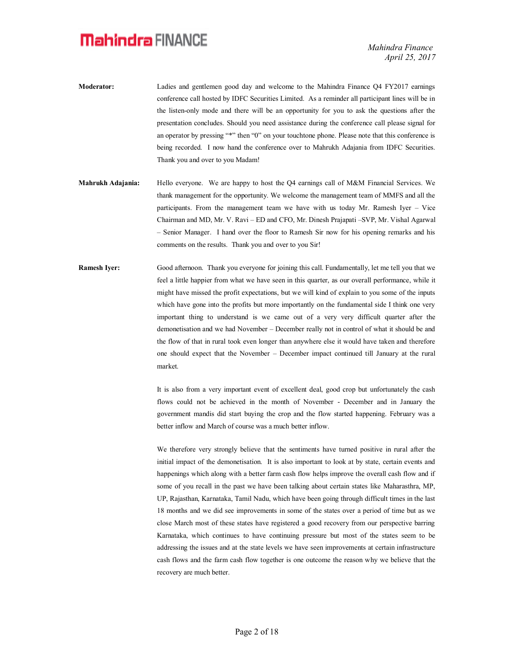- **Moderator:** Ladies and gentlemen good day and welcome to the Mahindra Finance Q4 FY2017 earnings conference call hosted by IDFC Securities Limited. As a reminder all participant lines will be in the listen-only mode and there will be an opportunity for you to ask the questions after the presentation concludes. Should you need assistance during the conference call please signal for an operator by pressing "\*" then "0" on your touchtone phone. Please note that this conference is being recorded. I now hand the conference over to Mahrukh Adajania from IDFC Securities. Thank you and over to you Madam!
- **Mahrukh Adajania:** Hello everyone. We are happy to host the Q4 earnings call of M&M Financial Services. We thank management for the opportunity. We welcome the management team of MMFS and all the participants. From the management team we have with us today Mr. Ramesh Iyer – Vice Chairman and MD, Mr. V. Ravi – ED and CFO, Mr. Dinesh Prajapati –SVP, Mr. Vishal Agarwal – Senior Manager. I hand over the floor to Ramesh Sir now for his opening remarks and his comments on the results. Thank you and over to you Sir!
- **Ramesh Iyer:** Good afternoon. Thank you everyone for joining this call. Fundamentally, let me tell you that we feel a little happier from what we have seen in this quarter, as our overall performance, while it might have missed the profit expectations, but we will kind of explain to you some of the inputs which have gone into the profits but more importantly on the fundamental side I think one very important thing to understand is we came out of a very very difficult quarter after the demonetisation and we had November – December really not in control of what it should be and the flow of that in rural took even longer than anywhere else it would have taken and therefore one should expect that the November – December impact continued till January at the rural market.

It is also from a very important event of excellent deal, good crop but unfortunately the cash flows could not be achieved in the month of November - December and in January the government mandis did start buying the crop and the flow started happening. February was a better inflow and March of course was a much better inflow.

We therefore very strongly believe that the sentiments have turned positive in rural after the initial impact of the demonetisation. It is also important to look at by state, certain events and happenings which along with a better farm cash flow helps improve the overall cash flow and if some of you recall in the past we have been talking about certain states like Maharasthra, MP, UP, Rajasthan, Karnataka, Tamil Nadu, which have been going through difficult times in the last 18 months and we did see improvements in some of the states over a period of time but as we close March most of these states have registered a good recovery from our perspective barring Karnataka, which continues to have continuing pressure but most of the states seem to be addressing the issues and at the state levels we have seen improvements at certain infrastructure cash flows and the farm cash flow together is one outcome the reason why we believe that the recovery are much better.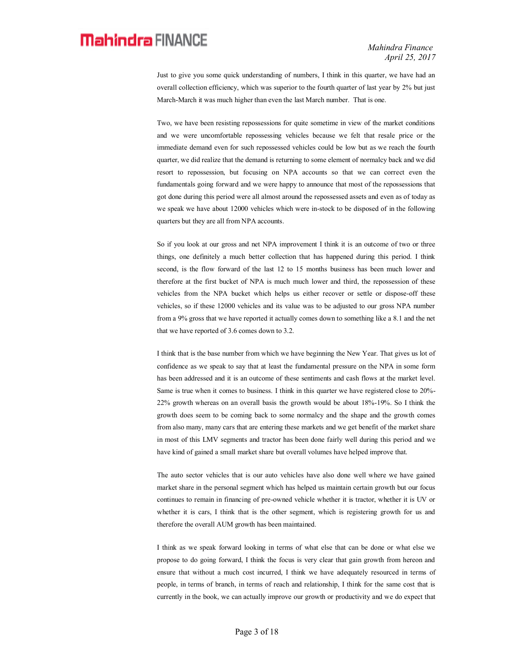Just to give you some quick understanding of numbers, I think in this quarter, we have had an overall collection efficiency, which was superior to the fourth quarter of last year by 2% but just March-March it was much higher than even the last March number. That is one.

Two, we have been resisting repossessions for quite sometime in view of the market conditions and we were uncomfortable repossessing vehicles because we felt that resale price or the immediate demand even for such repossessed vehicles could be low but as we reach the fourth quarter, we did realize that the demand is returning to some element of normalcy back and we did resort to repossession, but focusing on NPA accounts so that we can correct even the fundamentals going forward and we were happy to announce that most of the repossessions that got done during this period were all almost around the repossessed assets and even as of today as we speak we have about 12000 vehicles which were in-stock to be disposed of in the following quarters but they are all from NPA accounts.

So if you look at our gross and net NPA improvement I think it is an outcome of two or three things, one definitely a much better collection that has happened during this period. I think second, is the flow forward of the last 12 to 15 months business has been much lower and therefore at the first bucket of NPA is much much lower and third, the repossession of these vehicles from the NPA bucket which helps us either recover or settle or dispose-off these vehicles, so if these 12000 vehicles and its value was to be adjusted to our gross NPA number from a 9% gross that we have reported it actually comes down to something like a 8.1 and the net that we have reported of 3.6 comes down to 3.2.

I think that is the base number from which we have beginning the New Year. That gives us lot of confidence as we speak to say that at least the fundamental pressure on the NPA in some form has been addressed and it is an outcome of these sentiments and cash flows at the market level. Same is true when it comes to business. I think in this quarter we have registered close to 20%- 22% growth whereas on an overall basis the growth would be about 18%-19%. So I think the growth does seem to be coming back to some normalcy and the shape and the growth comes from also many, many cars that are entering these markets and we get benefit of the market share in most of this LMV segments and tractor has been done fairly well during this period and we have kind of gained a small market share but overall volumes have helped improve that.

The auto sector vehicles that is our auto vehicles have also done well where we have gained market share in the personal segment which has helped us maintain certain growth but our focus continues to remain in financing of pre-owned vehicle whether it is tractor, whether it is UV or whether it is cars, I think that is the other segment, which is registering growth for us and therefore the overall AUM growth has been maintained.

I think as we speak forward looking in terms of what else that can be done or what else we propose to do going forward, I think the focus is very clear that gain growth from hereon and ensure that without a much cost incurred, I think we have adequately resourced in terms of people, in terms of branch, in terms of reach and relationship, I think for the same cost that is currently in the book, we can actually improve our growth or productivity and we do expect that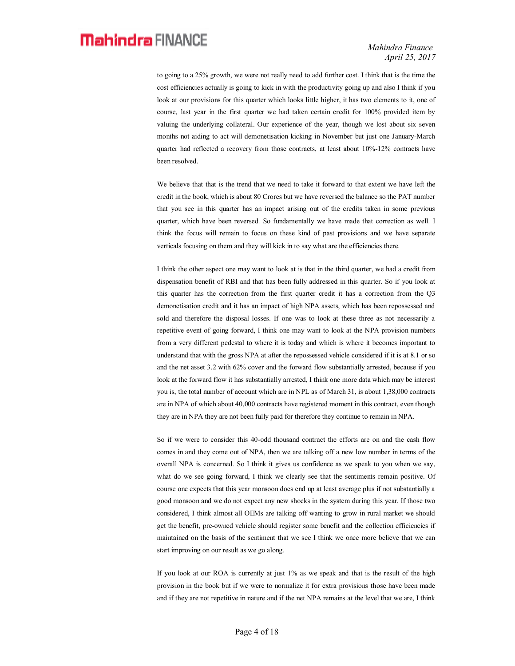*Mahindra Finance April 25, 2017*

to going to a 25% growth, we were not really need to add further cost. I think that is the time the cost efficiencies actually is going to kick in with the productivity going up and also I think if you look at our provisions for this quarter which looks little higher, it has two elements to it, one of course, last year in the first quarter we had taken certain credit for 100% provided item by valuing the underlying collateral. Our experience of the year, though we lost about six seven months not aiding to act will demonetisation kicking in November but just one January-March quarter had reflected a recovery from those contracts, at least about 10%-12% contracts have been resolved.

We believe that that is the trend that we need to take it forward to that extent we have left the credit in the book, which is about 80 Crores but we have reversed the balance so the PAT number that you see in this quarter has an impact arising out of the credits taken in some previous quarter, which have been reversed. So fundamentally we have made that correction as well. I think the focus will remain to focus on these kind of past provisions and we have separate verticals focusing on them and they will kick in to say what are the efficiencies there.

I think the other aspect one may want to look at is that in the third quarter, we had a credit from dispensation benefit of RBI and that has been fully addressed in this quarter. So if you look at this quarter has the correction from the first quarter credit it has a correction from the Q3 demonetisation credit and it has an impact of high NPA assets, which has been repossessed and sold and therefore the disposal losses. If one was to look at these three as not necessarily a repetitive event of going forward, I think one may want to look at the NPA provision numbers from a very different pedestal to where it is today and which is where it becomes important to understand that with the gross NPA at after the repossessed vehicle considered if it is at 8.1 or so and the net asset 3.2 with 62% cover and the forward flow substantially arrested, because if you look at the forward flow it has substantially arrested, I think one more data which may be interest you is, the total number of account which are in NPL as of March 31, is about 1,38,000 contracts are in NPA of which about 40,000 contracts have registered moment in this contract, even though they are in NPA they are not been fully paid for therefore they continue to remain in NPA.

So if we were to consider this 40-odd thousand contract the efforts are on and the cash flow comes in and they come out of NPA, then we are talking off a new low number in terms of the overall NPA is concerned. So I think it gives us confidence as we speak to you when we say, what do we see going forward, I think we clearly see that the sentiments remain positive. Of course one expects that this year monsoon does end up at least average plus if not substantially a good monsoon and we do not expect any new shocks in the system during this year. If those two considered, I think almost all OEMs are talking off wanting to grow in rural market we should get the benefit, pre-owned vehicle should register some benefit and the collection efficiencies if maintained on the basis of the sentiment that we see I think we once more believe that we can start improving on our result as we go along.

If you look at our ROA is currently at just 1% as we speak and that is the result of the high provision in the book but if we were to normalize it for extra provisions those have been made and if they are not repetitive in nature and if the net NPA remains at the level that we are, I think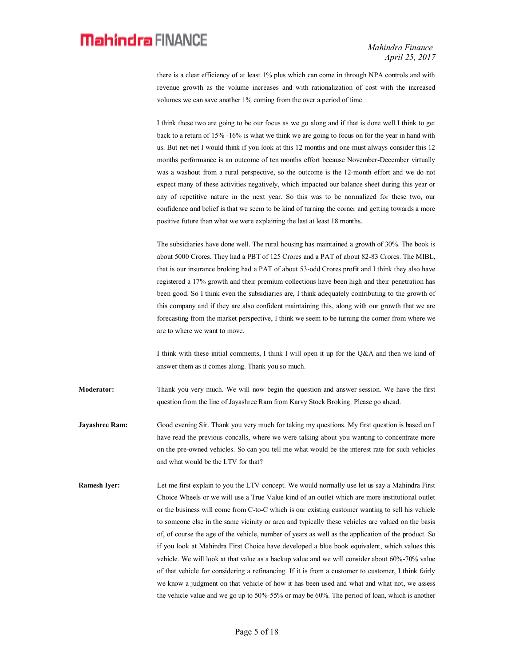there is a clear efficiency of at least 1% plus which can come in through NPA controls and with revenue growth as the volume increases and with rationalization of cost with the increased volumes we can save another 1% coming from the over a period of time.

I think these two are going to be our focus as we go along and if that is done well I think to get back to a return of 15% -16% is what we think we are going to focus on for the year in hand with us. But net-net I would think if you look at this 12 months and one must always consider this 12 months performance is an outcome of ten months effort because November-December virtually was a washout from a rural perspective, so the outcome is the 12-month effort and we do not expect many of these activities negatively, which impacted our balance sheet during this year or any of repetitive nature in the next year. So this was to be normalized for these two, our confidence and belief is that we seem to be kind of turning the corner and getting towards a more positive future than what we were explaining the last at least 18 months.

The subsidiaries have done well. The rural housing has maintained a growth of 30%. The book is about 5000 Crores. They had a PBT of 125 Crores and a PAT of about 82-83 Crores. The MIBL, that is our insurance broking had a PAT of about 53-odd Crores profit and I think they also have registered a 17% growth and their premium collections have been high and their penetration has been good. So I think even the subsidiaries are, I think adequately contributing to the growth of this company and if they are also confident maintaining this, along with our growth that we are forecasting from the market perspective, I think we seem to be turning the corner from where we are to where we want to move.

I think with these initial comments, I think I will open it up for the Q&A and then we kind of answer them as it comes along. Thank you so much.

**Moderator:** Thank you very much. We will now begin the question and answer session. We have the first question from the line of Jayashree Ram from Karvy Stock Broking. Please go ahead.

**Jayashree Ram:** Good evening Sir. Thank you very much for taking my questions. My first question is based on I have read the previous concalls, where we were talking about you wanting to concentrate more on the pre-owned vehicles. So can you tell me what would be the interest rate for such vehicles and what would be the LTV for that?

**Ramesh Iyer:** Let me first explain to you the LTV concept. We would normally use let us say a Mahindra First Choice Wheels or we will use a True Value kind of an outlet which are more institutional outlet or the business will come from C-to-C which is our existing customer wanting to sell his vehicle to someone else in the same vicinity or area and typically these vehicles are valued on the basis of, of course the age of the vehicle, number of years as well as the application of the product. So if you look at Mahindra First Choice have developed a blue book equivalent, which values this vehicle. We will look at that value as a backup value and we will consider about 60%-70% value of that vehicle for considering a refinancing. If it is from a customer to customer, I think fairly we know a judgment on that vehicle of how it has been used and what and what not, we assess the vehicle value and we go up to 50%-55% or may be 60%. The period of loan, which is another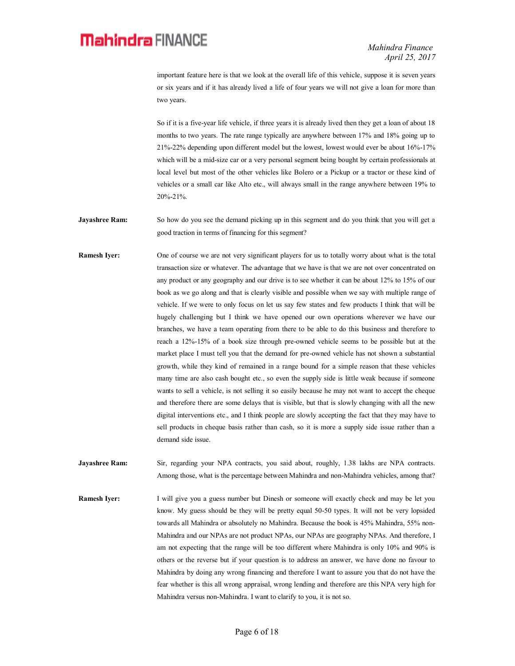important feature here is that we look at the overall life of this vehicle, suppose it is seven years or six years and if it has already lived a life of four years we will not give a loan for more than two years.

So if it is a five-year life vehicle, if three years it is already lived then they get a loan of about 18 months to two years. The rate range typically are anywhere between 17% and 18% going up to 21%-22% depending upon different model but the lowest, lowest would ever be about 16%-17% which will be a mid-size car or a very personal segment being bought by certain professionals at local level but most of the other vehicles like Bolero or a Pickup or a tractor or these kind of vehicles or a small car like Alto etc., will always small in the range anywhere between 19% to 20%-21%.

**Jayashree Ram:** So how do you see the demand picking up in this segment and do you think that you will get a good traction in terms of financing for this segment?

**Ramesh Iver:** One of course we are not very significant players for us to totally worry about what is the total transaction size or whatever. The advantage that we have is that we are not over concentrated on any product or any geography and our drive is to see whether it can be about 12% to 15% of our book as we go along and that is clearly visible and possible when we say with multiple range of vehicle. If we were to only focus on let us say few states and few products I think that will be hugely challenging but I think we have opened our own operations wherever we have our branches, we have a team operating from there to be able to do this business and therefore to reach a 12%-15% of a book size through pre-owned vehicle seems to be possible but at the market place I must tell you that the demand for pre-owned vehicle has not shown a substantial growth, while they kind of remained in a range bound for a simple reason that these vehicles many time are also cash bought etc., so even the supply side is little weak because if someone wants to sell a vehicle, is not selling it so easily because he may not want to accept the cheque and therefore there are some delays that is visible, but that is slowly changing with all the new digital interventions etc., and I think people are slowly accepting the fact that they may have to sell products in cheque basis rather than cash, so it is more a supply side issue rather than a demand side issue.

**Jayashree Ram:** Sir, regarding your NPA contracts, you said about, roughly, 1.38 lakhs are NPA contracts. Among those, what is the percentage between Mahindra and non-Mahindra vehicles, among that?

**Ramesh Iyer:** I will give you a guess number but Dinesh or someone will exactly check and may be let you know. My guess should be they will be pretty equal 50-50 types. It will not be very lopsided towards all Mahindra or absolutely no Mahindra. Because the book is 45% Mahindra, 55% non-Mahindra and our NPAs are not product NPAs, our NPAs are geography NPAs. And therefore, I am not expecting that the range will be too different where Mahindra is only 10% and 90% is others or the reverse but if your question is to address an answer, we have done no favour to Mahindra by doing any wrong financing and therefore I want to assure you that do not have the fear whether is this all wrong appraisal, wrong lending and therefore are this NPA very high for Mahindra versus non-Mahindra. I want to clarify to you, it is not so.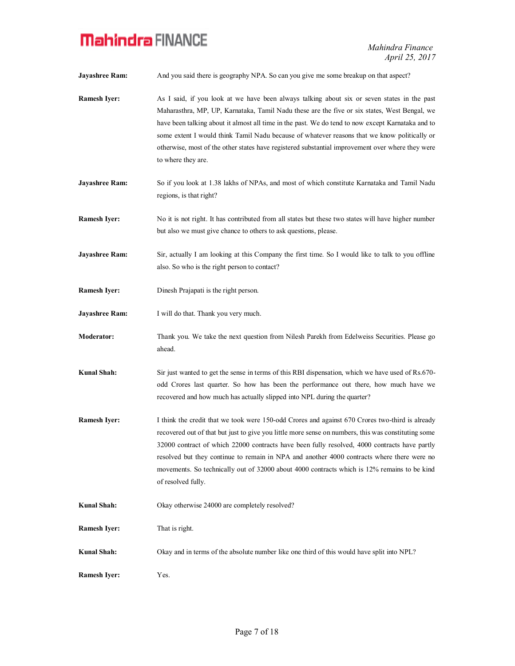**Jayashree Ram:** And you said there is geography NPA. So can you give me some breakup on that aspect?

- **Ramesh Iyer:** As I said, if you look at we have been always talking about six or seven states in the past Maharasthra, MP, UP, Karnataka, Tamil Nadu these are the five or six states, West Bengal, we have been talking about it almost all time in the past. We do tend to now except Karnataka and to some extent I would think Tamil Nadu because of whatever reasons that we know politically or otherwise, most of the other states have registered substantial improvement over where they were to where they are.
- **Jayashree Ram:** So if you look at 1.38 lakhs of NPAs, and most of which constitute Karnataka and Tamil Nadu regions, is that right?
- **Ramesh Iyer:** No it is not right. It has contributed from all states but these two states will have higher number but also we must give chance to others to ask questions, please.
- **Jayashree Ram:** Sir, actually I am looking at this Company the first time. So I would like to talk to you offline also. So who is the right person to contact?
- **Ramesh Iyer:** Dinesh Prajapati is the right person.
- **Jayashree Ram:** I will do that. Thank you very much.
- **Moderator:** Thank you. We take the next question from Nilesh Parekh from Edelweiss Securities. Please go ahead.
- **Kunal Shah:** Sir just wanted to get the sense in terms of this RBI dispensation, which we have used of Rs.670 odd Crores last quarter. So how has been the performance out there, how much have we recovered and how much has actually slipped into NPL during the quarter?
- **Ramesh Iyer:** I think the credit that we took were 150-odd Crores and against 670 Crores two-third is already recovered out of that but just to give you little more sense on numbers, this was constituting some 32000 contract of which 22000 contracts have been fully resolved, 4000 contracts have partly resolved but they continue to remain in NPA and another 4000 contracts where there were no movements. So technically out of 32000 about 4000 contracts which is 12% remains to be kind of resolved fully.
- **Kunal Shah:** Okay otherwise 24000 are completely resolved?
- **Ramesh Iyer:** That is right.
- **Kunal Shah:** Okay and in terms of the absolute number like one third of this would have split into NPL?
- **Ramesh Iyer:** Yes.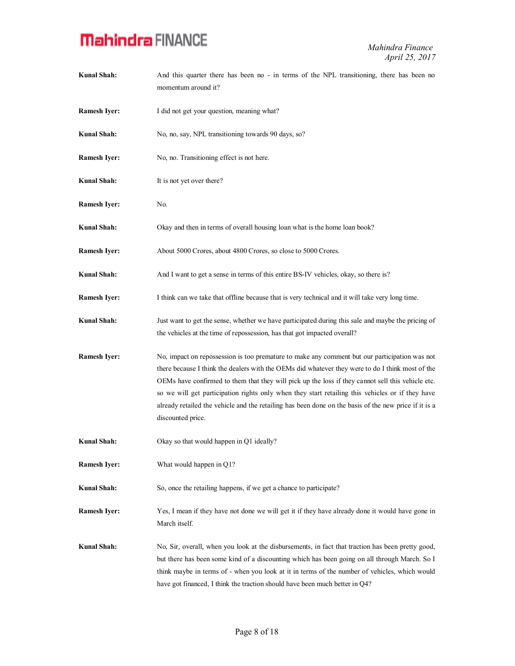| <b>Kunal Shah:</b>  | And this quarter there has been no - in terms of the NPL transitioning, there has been no<br>momentum around it?                                                                                                                                                                                                                                                                                                                                                                                                                         |
|---------------------|------------------------------------------------------------------------------------------------------------------------------------------------------------------------------------------------------------------------------------------------------------------------------------------------------------------------------------------------------------------------------------------------------------------------------------------------------------------------------------------------------------------------------------------|
| <b>Ramesh Iyer:</b> | I did not get your question, meaning what?                                                                                                                                                                                                                                                                                                                                                                                                                                                                                               |
| Kunal Shah:         | No, no, say, NPL transitioning towards 90 days, so?                                                                                                                                                                                                                                                                                                                                                                                                                                                                                      |
| <b>Ramesh Iyer:</b> | No, no. Transitioning effect is not here.                                                                                                                                                                                                                                                                                                                                                                                                                                                                                                |
| <b>Kunal Shah:</b>  | It is not yet over there?                                                                                                                                                                                                                                                                                                                                                                                                                                                                                                                |
| <b>Ramesh Iyer:</b> | No.                                                                                                                                                                                                                                                                                                                                                                                                                                                                                                                                      |
| Kunal Shah:         | Okay and then in terms of overall housing loan what is the home loan book?                                                                                                                                                                                                                                                                                                                                                                                                                                                               |
| <b>Ramesh Iyer:</b> | About 5000 Crores, about 4800 Crores, so close to 5000 Crores.                                                                                                                                                                                                                                                                                                                                                                                                                                                                           |
| <b>Kunal Shah:</b>  | And I want to get a sense in terms of this entire BS-IV vehicles, okay, so there is?                                                                                                                                                                                                                                                                                                                                                                                                                                                     |
| <b>Ramesh Iyer:</b> | I think can we take that offline because that is very technical and it will take very long time.                                                                                                                                                                                                                                                                                                                                                                                                                                         |
| Kunal Shah:         | Just want to get the sense, whether we have participated during this sale and maybe the pricing of<br>the vehicles at the time of repossession, has that got impacted overall?                                                                                                                                                                                                                                                                                                                                                           |
| <b>Ramesh Iyer:</b> | No, impact on repossession is too premature to make any comment but our participation was not<br>there because I think the dealers with the OEMs did whatever they were to do I think most of the<br>OEMs have confirmed to them that they will pick up the loss if they cannot sell this vehicle etc.<br>so we will get participation rights only when they start retailing this vehicles or if they have<br>already retailed the vehicle and the retailing has been done on the basis of the new price if it is a<br>discounted price. |
| <b>Kunal Shah:</b>  | Okay so that would happen in Q1 ideally?                                                                                                                                                                                                                                                                                                                                                                                                                                                                                                 |
| <b>Ramesh Iyer:</b> | What would happen in Q1?                                                                                                                                                                                                                                                                                                                                                                                                                                                                                                                 |
| <b>Kunal Shah:</b>  | So, once the retailing happens, if we get a chance to participate?                                                                                                                                                                                                                                                                                                                                                                                                                                                                       |
| <b>Ramesh Iyer:</b> | Yes, I mean if they have not done we will get it if they have already done it would have gone in<br>March itself.                                                                                                                                                                                                                                                                                                                                                                                                                        |
| <b>Kunal Shah:</b>  | No, Sir, overall, when you look at the disbursements, in fact that traction has been pretty good,<br>but there has been some kind of a discounting which has been going on all through March. So I<br>think maybe in terms of - when you look at it in terms of the number of vehicles, which would<br>have got financed, I think the traction should have been much better in Q4?                                                                                                                                                       |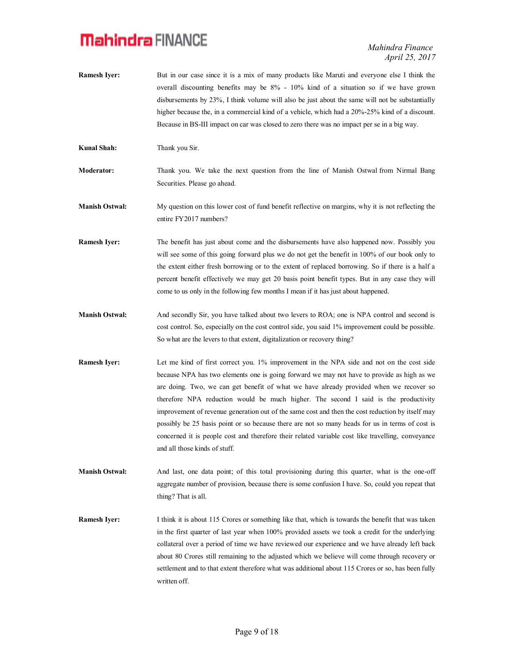*Mahindra Finance April 25, 2017*

- **Ramesh Iver:** But in our case since it is a mix of many products like Maruti and everyone else I think the overall discounting benefits may be 8% - 10% kind of a situation so if we have grown disbursements by 23%, I think volume will also be just about the same will not be substantially higher because the, in a commercial kind of a vehicle, which had a 20%-25% kind of a discount. Because in BS-III impact on car was closed to zero there was no impact per se in a big way.
- **Kunal Shah:** Thank you Sir.

**Moderator:** Thank you. We take the next question from the line of Manish Ostwal from Nirmal Bang Securities. Please go ahead.

**Manish Ostwal:** My question on this lower cost of fund benefit reflective on margins, why it is not reflecting the entire FY2017 numbers?

**Ramesh Iver:** The benefit has just about come and the disbursements have also happened now. Possibly you will see some of this going forward plus we do not get the benefit in 100% of our book only to the extent either fresh borrowing or to the extent of replaced borrowing. So if there is a half a percent benefit effectively we may get 20 basis point benefit types. But in any case they will come to us only in the following few months I mean if it has just about happened.

- **Manish Ostwal:** And secondly Sir, you have talked about two levers to ROA; one is NPA control and second is cost control. So, especially on the cost control side, you said 1% improvement could be possible. So what are the levers to that extent, digitalization or recovery thing?
- **Ramesh Iyer:** Let me kind of first correct you. 1% improvement in the NPA side and not on the cost side because NPA has two elements one is going forward we may not have to provide as high as we are doing. Two, we can get benefit of what we have already provided when we recover so therefore NPA reduction would be much higher. The second I said is the productivity improvement of revenue generation out of the same cost and then the cost reduction by itself may possibly be 25 basis point or so because there are not so many heads for us in terms of cost is concerned it is people cost and therefore their related variable cost like travelling, conveyance and all those kinds of stuff.

**Manish Ostwal:** And last, one data point; of this total provisioning during this quarter, what is the one-off aggregate number of provision, because there is some confusion I have. So, could you repeat that thing? That is all.

**Ramesh Iyer:** I think it is about 115 Crores or something like that, which is towards the benefit that was taken in the first quarter of last year when 100% provided assets we took a credit for the underlying collateral over a period of time we have reviewed our experience and we have already left back about 80 Crores still remaining to the adjusted which we believe will come through recovery or settlement and to that extent therefore what was additional about 115 Crores or so, has been fully written off.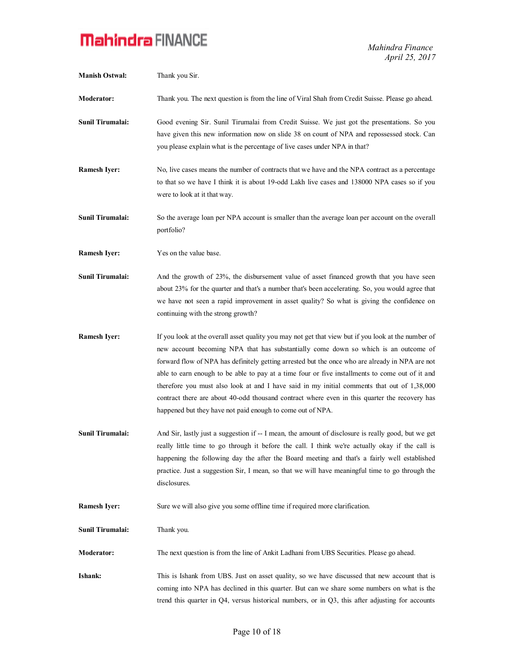*Mahindra Finance April 25, 2017*

| <b>Manish Ostwal:</b>   | Thank you Sir.                                                                                                                                                                                                                                                                                                                                                                                                                                                                                                                                                                                                                                                 |
|-------------------------|----------------------------------------------------------------------------------------------------------------------------------------------------------------------------------------------------------------------------------------------------------------------------------------------------------------------------------------------------------------------------------------------------------------------------------------------------------------------------------------------------------------------------------------------------------------------------------------------------------------------------------------------------------------|
| <b>Moderator:</b>       | Thank you. The next question is from the line of Viral Shah from Credit Suisse. Please go ahead.                                                                                                                                                                                                                                                                                                                                                                                                                                                                                                                                                               |
| <b>Sunil Tirumalai:</b> | Good evening Sir. Sunil Tirumalai from Credit Suisse. We just got the presentations. So you<br>have given this new information now on slide 38 on count of NPA and repossessed stock. Can<br>you please explain what is the percentage of live cases under NPA in that?                                                                                                                                                                                                                                                                                                                                                                                        |
| <b>Ramesh Iyer:</b>     | No, live cases means the number of contracts that we have and the NPA contract as a percentage<br>to that so we have I think it is about 19-odd Lakh live cases and 138000 NPA cases so if you<br>were to look at it that way.                                                                                                                                                                                                                                                                                                                                                                                                                                 |
| Sunil Tirumalai:        | So the average loan per NPA account is smaller than the average loan per account on the overall<br>portfolio?                                                                                                                                                                                                                                                                                                                                                                                                                                                                                                                                                  |
| <b>Ramesh Iyer:</b>     | Yes on the value base.                                                                                                                                                                                                                                                                                                                                                                                                                                                                                                                                                                                                                                         |
| Sunil Tirumalai:        | And the growth of 23%, the disbursement value of asset financed growth that you have seen<br>about 23% for the quarter and that's a number that's been accelerating. So, you would agree that<br>we have not seen a rapid improvement in asset quality? So what is giving the confidence on<br>continuing with the strong growth?                                                                                                                                                                                                                                                                                                                              |
| <b>Ramesh Iyer:</b>     | If you look at the overall asset quality you may not get that view but if you look at the number of<br>new account becoming NPA that has substantially come down so which is an outcome of<br>forward flow of NPA has definitely getting arrested but the once who are already in NPA are not<br>able to earn enough to be able to pay at a time four or five installments to come out of it and<br>therefore you must also look at and I have said in my initial comments that out of 1,38,000<br>contract there are about 40-odd thousand contract where even in this quarter the recovery has<br>happened but they have not paid enough to come out of NPA. |
| Sunil Tirumalai:        | And Sir, lastly just a suggestion if -- I mean, the amount of disclosure is really good, but we get<br>really little time to go through it before the call. I think we're actually okay if the call is<br>happening the following day the after the Board meeting and that's a fairly well established<br>practice. Just a suggestion Sir, I mean, so that we will have meaningful time to go through the<br>disclosures.                                                                                                                                                                                                                                      |
| <b>Ramesh Iyer:</b>     | Sure we will also give you some offline time if required more clarification.                                                                                                                                                                                                                                                                                                                                                                                                                                                                                                                                                                                   |
| Sunil Tirumalai:        | Thank you.                                                                                                                                                                                                                                                                                                                                                                                                                                                                                                                                                                                                                                                     |
| <b>Moderator:</b>       | The next question is from the line of Ankit Ladhani from UBS Securities. Please go ahead.                                                                                                                                                                                                                                                                                                                                                                                                                                                                                                                                                                      |
| Ishank:                 | This is Ishank from UBS. Just on asset quality, so we have discussed that new account that is<br>coming into NPA has declined in this quarter. But can we share some numbers on what is the<br>trend this quarter in $Q4$ , versus historical numbers, or in $Q3$ , this after adjusting for accounts                                                                                                                                                                                                                                                                                                                                                          |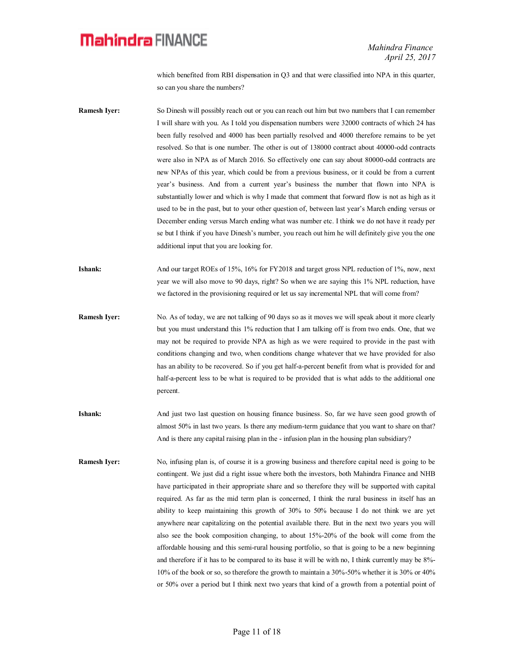which benefited from RBI dispensation in Q3 and that were classified into NPA in this quarter, so can you share the numbers?

- **Ramesh Iyer:** So Dinesh will possibly reach out or you can reach out him but two numbers that I can remember I will share with you. As I told you dispensation numbers were 32000 contracts of which 24 has been fully resolved and 4000 has been partially resolved and 4000 therefore remains to be yet resolved. So that is one number. The other is out of 138000 contract about 40000-odd contracts were also in NPA as of March 2016. So effectively one can say about 80000-odd contracts are new NPAs of this year, which could be from a previous business, or it could be from a current year's business. And from a current year's business the number that flown into NPA is substantially lower and which is why I made that comment that forward flow is not as high as it used to be in the past, but to your other question of, between last year's March ending versus or December ending versus March ending what was number etc. I think we do not have it ready per se but I think if you have Dinesh's number, you reach out him he will definitely give you the one additional input that you are looking for.
- **Ishank:** And our target ROEs of 15%, 16% for FY2018 and target gross NPL reduction of 1%, now, next year we will also move to 90 days, right? So when we are saying this 1% NPL reduction, have we factored in the provisioning required or let us say incremental NPL that will come from?
- **Ramesh Iyer:** No. As of today, we are not talking of 90 days so as it moves we will speak about it more clearly but you must understand this 1% reduction that I am talking off is from two ends. One, that we may not be required to provide NPA as high as we were required to provide in the past with conditions changing and two, when conditions change whatever that we have provided for also has an ability to be recovered. So if you get half-a-percent benefit from what is provided for and half-a-percent less to be what is required to be provided that is what adds to the additional one percent.
- **Ishank:** And just two last question on housing finance business. So, far we have seen good growth of almost 50% in last two years. Is there any medium-term guidance that you want to share on that? And is there any capital raising plan in the - infusion plan in the housing plan subsidiary?
- **Ramesh Iyer:** No, infusing plan is, of course it is a growing business and therefore capital need is going to be contingent. We just did a right issue where both the investors, both Mahindra Finance and NHB have participated in their appropriate share and so therefore they will be supported with capital required. As far as the mid term plan is concerned, I think the rural business in itself has an ability to keep maintaining this growth of 30% to 50% because I do not think we are yet anywhere near capitalizing on the potential available there. But in the next two years you will also see the book composition changing, to about 15%-20% of the book will come from the affordable housing and this semi-rural housing portfolio, so that is going to be a new beginning and therefore if it has to be compared to its base it will be with no, I think currently may be 8%- 10% of the book or so, so therefore the growth to maintain a 30%-50% whether it is 30% or 40% or 50% over a period but I think next two years that kind of a growth from a potential point of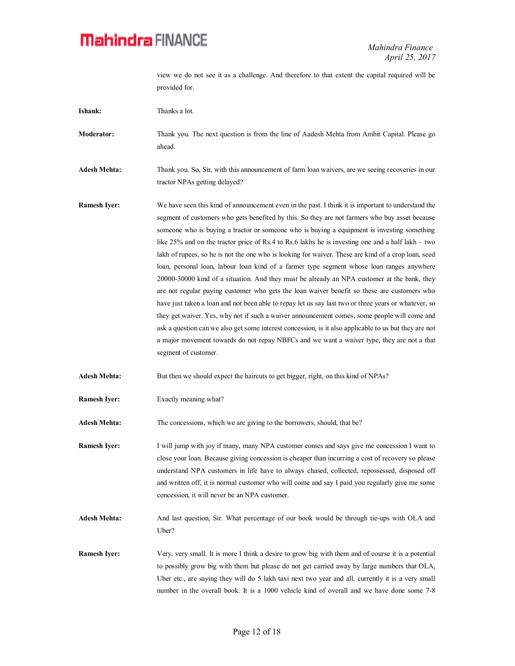view we do not see it as a challenge. And therefore to that extent the capital required will be provided for.

| Ishank:             | Thanks a lot.                                                                                                                                                                                                                                                                                                                                                                                                                                                                                                                                                                                                                                                                                                                                                                                                                                                                                                                                                                                                                                                                                                                                                                                                                                     |
|---------------------|---------------------------------------------------------------------------------------------------------------------------------------------------------------------------------------------------------------------------------------------------------------------------------------------------------------------------------------------------------------------------------------------------------------------------------------------------------------------------------------------------------------------------------------------------------------------------------------------------------------------------------------------------------------------------------------------------------------------------------------------------------------------------------------------------------------------------------------------------------------------------------------------------------------------------------------------------------------------------------------------------------------------------------------------------------------------------------------------------------------------------------------------------------------------------------------------------------------------------------------------------|
| <b>Moderator:</b>   | Thank you. The next question is from the line of Aadesh Mehta from Ambit Capital. Please go<br>ahead.                                                                                                                                                                                                                                                                                                                                                                                                                                                                                                                                                                                                                                                                                                                                                                                                                                                                                                                                                                                                                                                                                                                                             |
| <b>Adesh Mehta:</b> | Thank you. So, Sir, with this announcement of farm loan waivers, are we seeing recoveries in our<br>tractor NPAs getting delayed?                                                                                                                                                                                                                                                                                                                                                                                                                                                                                                                                                                                                                                                                                                                                                                                                                                                                                                                                                                                                                                                                                                                 |
| <b>Ramesh Iyer:</b> | We have seen this kind of announcement even in the past. I think it is important to understand the<br>segment of customers who gets benefited by this. So they are not farmers who buy asset because<br>someone who is buying a tractor or someone who is buying a equipment is investing something<br>like 25% and on the tractor price of Rs.4 to Rs.6 lakhs he is investing one and a half lakh – two<br>lakh of rupees, so he is not the one who is looking for waiver. These are kind of a crop loan, seed<br>loan, personal loan, labour loan kind of a farmer type segment whose loan ranges anywhere<br>20000-30000 kind of a situation. And they must be already an NPA customer at the bank, they<br>are not regular paying customer who gets the loan waiver benefit so these are customers who<br>have just taken a loan and not been able to repay let us say last two or three years or whatever, so<br>they get waiver. Yes, why not if such a waiver announcement comes, some people will come and<br>ask a question can we also get some interest concession, is it also applicable to us but they are not<br>a major movement towards do not repay NBFCs and we want a waiver type, they are not a that<br>segment of customer. |
| <b>Adesh Mehta:</b> | But then we should expect the haircuts to get bigger, right, on this kind of NPAs?                                                                                                                                                                                                                                                                                                                                                                                                                                                                                                                                                                                                                                                                                                                                                                                                                                                                                                                                                                                                                                                                                                                                                                |
| <b>Ramesh Iyer:</b> | Exactly meaning what?                                                                                                                                                                                                                                                                                                                                                                                                                                                                                                                                                                                                                                                                                                                                                                                                                                                                                                                                                                                                                                                                                                                                                                                                                             |
| <b>Adesh Mehta:</b> | The concessions, which we are giving to the borrowers, should, that be?                                                                                                                                                                                                                                                                                                                                                                                                                                                                                                                                                                                                                                                                                                                                                                                                                                                                                                                                                                                                                                                                                                                                                                           |
| <b>Ramesh Iyer:</b> | I will jump with joy if many, many NPA customer comes and says give me concession I want to<br>close your loan. Because giving concession is cheaper than incurring a cost of recovery so please<br>understand NPA customers in life have to always chased, collected, repossessed, disposed off<br>and written off, it is normal customer who will come and say I paid you regularly give me some<br>concession, it will never be an NPA customer.                                                                                                                                                                                                                                                                                                                                                                                                                                                                                                                                                                                                                                                                                                                                                                                               |
| <b>Adesh Mehta:</b> | And last question, Sir. What percentage of our book would be through tie-ups with OLA and<br>Uber?                                                                                                                                                                                                                                                                                                                                                                                                                                                                                                                                                                                                                                                                                                                                                                                                                                                                                                                                                                                                                                                                                                                                                |
| <b>Ramesh Iyer:</b> | Very, very small. It is more I think a desire to grow big with them and of course it is a potential<br>to possibly grow big with them but please do not get carried away by large numbers that OLA,<br>Uber etc., are saying they will do 5 lakh taxi next two year and all, currently it is a very small<br>number in the overall book. It is a 1000 vehicle kind of overall and we have done some 7-8                                                                                                                                                                                                                                                                                                                                                                                                                                                                                                                                                                                                                                                                                                                                                                                                                                           |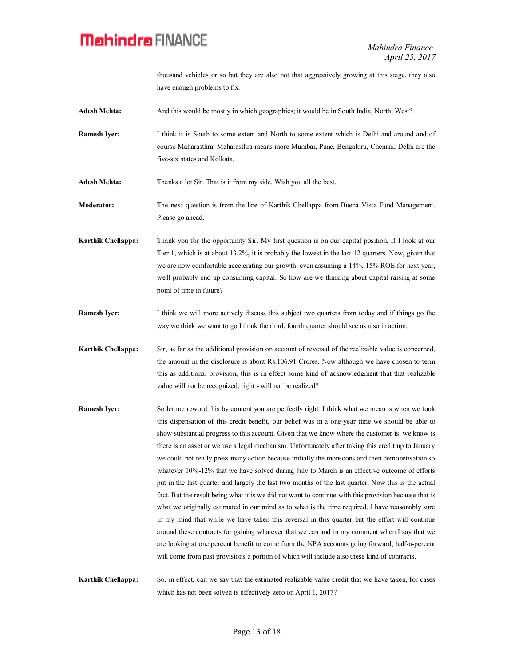thousand vehicles or so but they are also not that aggressively growing at this stage, they also have enough problems to fix.

- **Adesh Mehta:** And this would be mostly in which geographies; it would be in South India, North, West?
- **Ramesh Iyer:** I think it is South to some extent and North to some extent which is Delhi and around and of course Maharasthra. Maharasthra means more Mumbai, Pune, Bengaluru, Chennai, Delhi are the five-six states and Kolkata.

**Adesh Mehta:** Thanks a lot Sir. That is it from my side. Wish you all the best.

- **Moderator:** The next question is from the line of Karthik Chellappa from Buena Vista Fund Management. Please go ahead.
- **Karthik Chellappa:** Thank you for the opportunity Sir. My first question is on our capital position. If I look at our Tier 1, which is at about 13.2%, it is probably the lowest in the last 12 quarters. Now, given that we are now comfortable accelerating our growth, even assuming a 14%, 15% ROE for next year, we'll probably end up consuming capital. So how are we thinking about capital raising at some point of time in future?
- **Ramesh Iyer:** I think we will more actively discuss this subject two quarters from today and if things go the way we think we want to go I think the third, fourth quarter should see us also in action.
- **Karthik Chellappa:** Sir, as far as the additional provision on account of reversal of the realizable value is concerned, the amount in the disclosure is about Rs.106.91 Crores. Now although we have chosen to term this as additional provision, this is in effect some kind of acknowledgment that that realizable value will not be recognized, right - will not be realized?
- **Ramesh Iver:** So let me reword this by content you are perfectly right. I think what we mean is when we took this dispensation of this credit benefit, our belief was in a one-year time we should be able to show substantial progress to this account. Given that we know where the customer is, we know is there is an asset or we use a legal mechanism. Unfortunately after taking this credit up to January we could not really press many action because initially the monsoons and then demonetisation so whatever 10%-12% that we have solved during July to March is an effective outcome of efforts put in the last quarter and largely the last two months of the last quarter. Now this is the actual fact. But the result being what it is we did not want to continue with this provision because that is what we originally estimated in our mind as to what is the time required. I have reasonably sure in my mind that while we have taken this reversal in this quarter but the effort will continue around these contracts for gaining whatever that we can and in my comment when I say that we are looking at one percent benefit to come from the NPA accounts going forward, half-a-percent will come from past provisions a portion of which will include also these kind of contracts.
- **Karthik Chellappa:** So, in effect, can we say that the estimated realizable value credit that we have taken, for cases which has not been solved is effectively zero on April 1, 2017?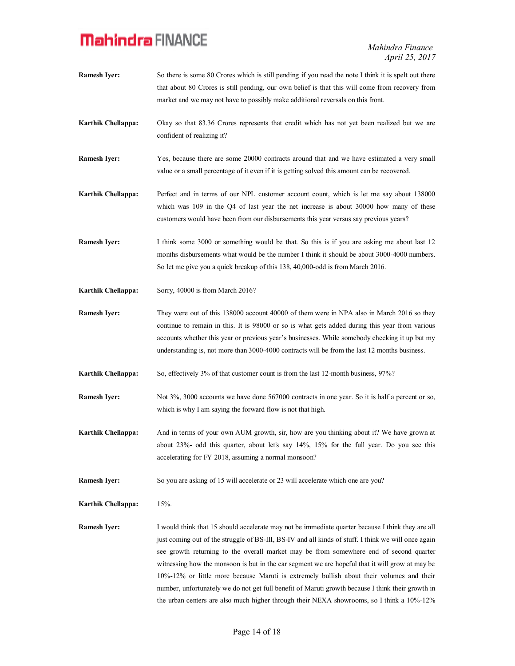*Mahindra Finance April 25, 2017*

**Ramesh Iver:** So there is some 80 Crores which is still pending if you read the note I think it is spelt out there that about 80 Crores is still pending, our own belief is that this will come from recovery from market and we may not have to possibly make additional reversals on this front. **Karthik Chellappa:** Okay so that 83.36 Crores represents that credit which has not yet been realized but we are confident of realizing it? **Ramesh Iver:** Yes, because there are some 20000 contracts around that and we have estimated a very small value or a small percentage of it even if it is getting solved this amount can be recovered. **Karthik Chellappa:** Perfect and in terms of our NPL customer account count, which is let me say about 138000 which was 109 in the Q4 of last year the net increase is about 30000 how many of these customers would have been from our disbursements this year versus say previous years? **Ramesh Iyer:** I think some 3000 or something would be that. So this is if you are asking me about last 12 months disbursements what would be the number I think it should be about 3000-4000 numbers. So let me give you a quick breakup of this 138, 40,000-odd is from March 2016. **Karthik Chellappa:** Sorry, 40000 is from March 2016? **Ramesh Iver:** They were out of this 138000 account 40000 of them were in NPA also in March 2016 so they continue to remain in this. It is 98000 or so is what gets added during this year from various accounts whether this year or previous year's businesses. While somebody checking it up but my understanding is, not more than 3000-4000 contracts will be from the last 12 months business. **Karthik Chellappa:** So, effectively 3% of that customer count is from the last 12-month business, 97%? **Ramesh Iyer:** Not 3%, 3000 accounts we have done 567000 contracts in one year. So it is half a percent or so, which is why I am saying the forward flow is not that high. **Karthik Chellappa:** And in terms of your own AUM growth, sir, how are you thinking about it? We have grown at about 23%- odd this quarter, about let's say 14%, 15% for the full year. Do you see this accelerating for FY 2018, assuming a normal monsoon? **Ramesh Iyer:** So you are asking of 15 will accelerate or 23 will accelerate which one are you? **Karthik Chellappa:** 15%. **Ramesh Iyer:** I would think that 15 should accelerate may not be immediate quarter because I think they are all just coming out of the struggle of BS-III, BS-IV and all kinds of stuff. I think we will once again see growth returning to the overall market may be from somewhere end of second quarter witnessing how the monsoon is but in the car segment we are hopeful that it will grow at may be 10%-12% or little more because Maruti is extremely bullish about their volumes and their number, unfortunately we do not get full benefit of Maruti growth because I think their growth in the urban centers are also much higher through their NEXA showrooms, so I think a 10%-12%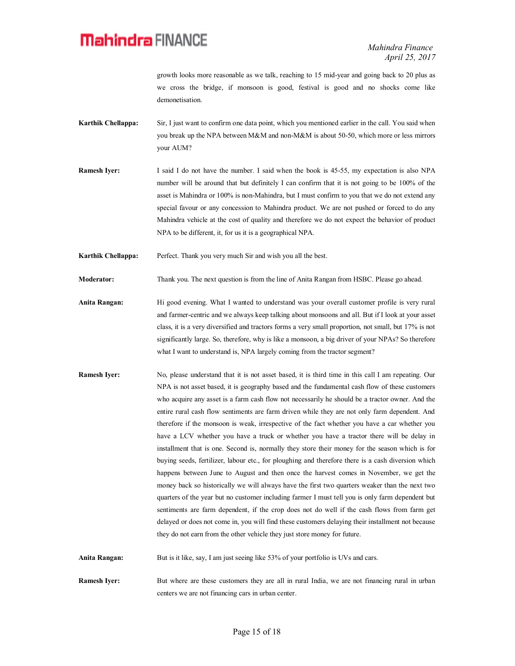growth looks more reasonable as we talk, reaching to 15 mid-year and going back to 20 plus as we cross the bridge, if monsoon is good, festival is good and no shocks come like demonetisation.

- **Karthik Chellappa:** Sir, I just want to confirm one data point, which you mentioned earlier in the call. You said when you break up the NPA between M&M and non-M&M is about 50-50, which more or less mirrors your AUM?
- **Ramesh Iyer:** I said I do not have the number. I said when the book is 45-55, my expectation is also NPA number will be around that but definitely I can confirm that it is not going to be 100% of the asset is Mahindra or 100% is non-Mahindra, but I must confirm to you that we do not extend any special favour or any concession to Mahindra product. We are not pushed or forced to do any Mahindra vehicle at the cost of quality and therefore we do not expect the behavior of product NPA to be different, it, for us it is a geographical NPA.

**Karthik Chellappa:** Perfect. Thank you very much Sir and wish you all the best.

**Moderator:** Thank you. The next question is from the line of Anita Rangan from HSBC. Please go ahead.

- **Anita Rangan:** Hi good evening. What I wanted to understand was your overall customer profile is very rural and farmer-centric and we always keep talking about monsoons and all. But if I look at your asset class, it is a very diversified and tractors forms a very small proportion, not small, but 17% is not significantly large. So, therefore, why is like a monsoon, a big driver of your NPAs? So therefore what I want to understand is, NPA largely coming from the tractor segment?
- **Ramesh Iyer:** No, please understand that it is not asset based, it is third time in this call I am repeating. Our NPA is not asset based, it is geography based and the fundamental cash flow of these customers who acquire any asset is a farm cash flow not necessarily he should be a tractor owner. And the entire rural cash flow sentiments are farm driven while they are not only farm dependent. And therefore if the monsoon is weak, irrespective of the fact whether you have a car whether you have a LCV whether you have a truck or whether you have a tractor there will be delay in installment that is one. Second is, normally they store their money for the season which is for buying seeds, fertilizer, labour etc., for ploughing and therefore there is a cash diversion which happens between June to August and then once the harvest comes in November, we get the money back so historically we will always have the first two quarters weaker than the next two quarters of the year but no customer including farmer I must tell you is only farm dependent but sentiments are farm dependent, if the crop does not do well if the cash flows from farm get delayed or does not come in, you will find these customers delaying their installment not because they do not earn from the other vehicle they just store money for future.

**Anita Rangan:** But is it like, say, I am just seeing like 53% of your portfolio is UVs and cars.

**Ramesh Iyer:** But where are these customers they are all in rural India, we are not financing rural in urban centers we are not financing cars in urban center.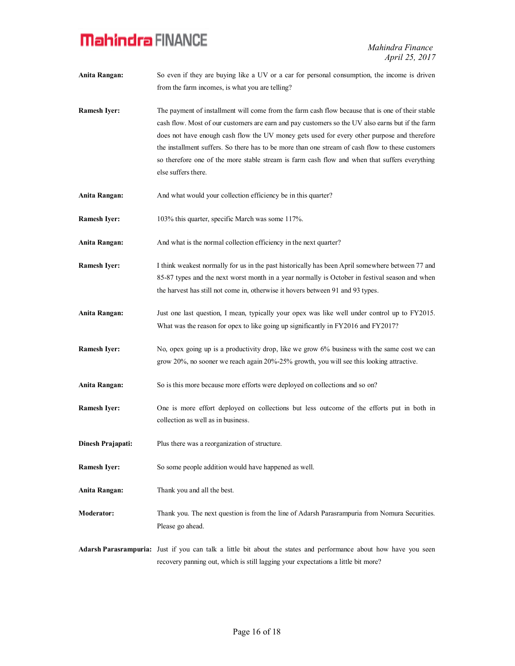- **Anita Rangan:** So even if they are buying like a UV or a car for personal consumption, the income is driven from the farm incomes, is what you are telling?
- **Ramesh Iyer:** The payment of installment will come from the farm cash flow because that is one of their stable cash flow. Most of our customers are earn and pay customers so the UV also earns but if the farm does not have enough cash flow the UV money gets used for every other purpose and therefore the installment suffers. So there has to be more than one stream of cash flow to these customers so therefore one of the more stable stream is farm cash flow and when that suffers everything else suffers there.
- **Anita Rangan:** And what would your collection efficiency be in this quarter?
- **Ramesh Iyer:** 103% this quarter, specific March was some 117%.
- **Anita Rangan:** And what is the normal collection efficiency in the next quarter?
- **Ramesh Iyer:** I think weakest normally for us in the past historically has been April somewhere between 77 and 85-87 types and the next worst month in a year normally is October in festival season and when the harvest has still not come in, otherwise it hovers between 91 and 93 types.
- **Anita Rangan:** Just one last question, I mean, typically your opex was like well under control up to FY2015. What was the reason for opex to like going up significantly in FY2016 and FY2017?
- **Ramesh Iyer:** No, opex going up is a productivity drop, like we grow 6% business with the same cost we can grow 20%, no sooner we reach again 20%-25% growth, you will see this looking attractive.
- **Anita Rangan:** So is this more because more efforts were deployed on collections and so on?
- **Ramesh Iyer:** One is more effort deployed on collections but less outcome of the efforts put in both in collection as well as in business.
- **Dinesh Prajapati:** Plus there was a reorganization of structure.
- **Ramesh Iyer:** So some people addition would have happened as well.
- **Anita Rangan:** Thank you and all the best.
- **Moderator:** Thank you. The next question is from the line of Adarsh Parasrampuria from Nomura Securities. Please go ahead.
- **Adarsh Parasrampuria:** Just if you can talk a little bit about the states and performance about how have you seen recovery panning out, which is still lagging your expectations a little bit more?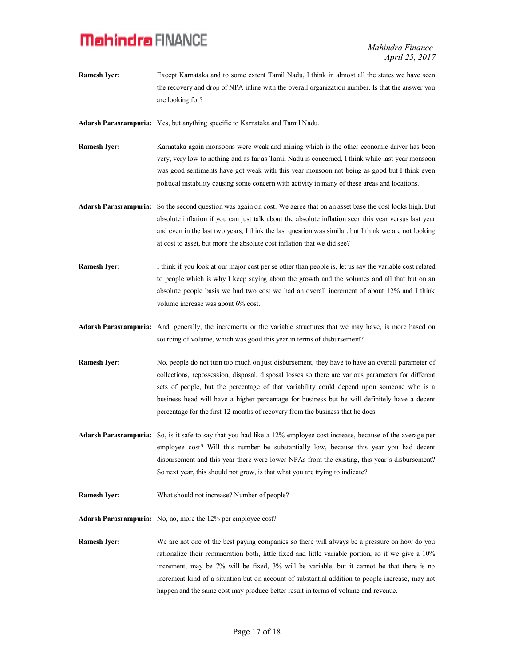*Mahindra Finance April 25, 2017*

**Ramesh Iyer:** Except Karnataka and to some extent Tamil Nadu, I think in almost all the states we have seen the recovery and drop of NPA inline with the overall organization number. Is that the answer you are looking for?

**Adarsh Parasrampuria:** Yes, but anything specific to Karnataka and Tamil Nadu.

- **Ramesh Iver:** Karnataka again monsoons were weak and mining which is the other economic driver has been very, very low to nothing and as far as Tamil Nadu is concerned, I think while last year monsoon was good sentiments have got weak with this year monsoon not being as good but I think even political instability causing some concern with activity in many of these areas and locations.
- **Adarsh Parasrampuria:** So the second question was again on cost. We agree that on an asset base the cost looks high. But absolute inflation if you can just talk about the absolute inflation seen this year versus last year and even in the last two years, I think the last question was similar, but I think we are not looking at cost to asset, but more the absolute cost inflation that we did see?
- **Ramesh Iyer:** I think if you look at our major cost per se other than people is, let us say the variable cost related to people which is why I keep saying about the growth and the volumes and all that but on an absolute people basis we had two cost we had an overall increment of about 12% and I think volume increase was about 6% cost.
- **Adarsh Parasrampuria:** And, generally, the increments or the variable structures that we may have, is more based on sourcing of volume, which was good this year in terms of disbursement?
- **Ramesh Iyer:** No, people do not turn too much on just disbursement, they have to have an overall parameter of collections, repossession, disposal, disposal losses so there are various parameters for different sets of people, but the percentage of that variability could depend upon someone who is a business head will have a higher percentage for business but he will definitely have a decent percentage for the first 12 months of recovery from the business that he does.
- **Adarsh Parasrampuria:** So, is it safe to say that you had like a 12% employee cost increase, because of the average per employee cost? Will this number be substantially low, because this year you had decent disbursement and this year there were lower NPAs from the existing, this year's disbursement? So next year, this should not grow, is that what you are trying to indicate?
- **Ramesh Iyer:** What should not increase? Number of people?

**Adarsh Parasrampuria:** No, no, more the 12% per employee cost?

**Ramesh Iyer:** We are not one of the best paying companies so there will always be a pressure on how do you rationalize their remuneration both, little fixed and little variable portion, so if we give a 10% increment, may be 7% will be fixed, 3% will be variable, but it cannot be that there is no increment kind of a situation but on account of substantial addition to people increase, may not happen and the same cost may produce better result in terms of volume and revenue.